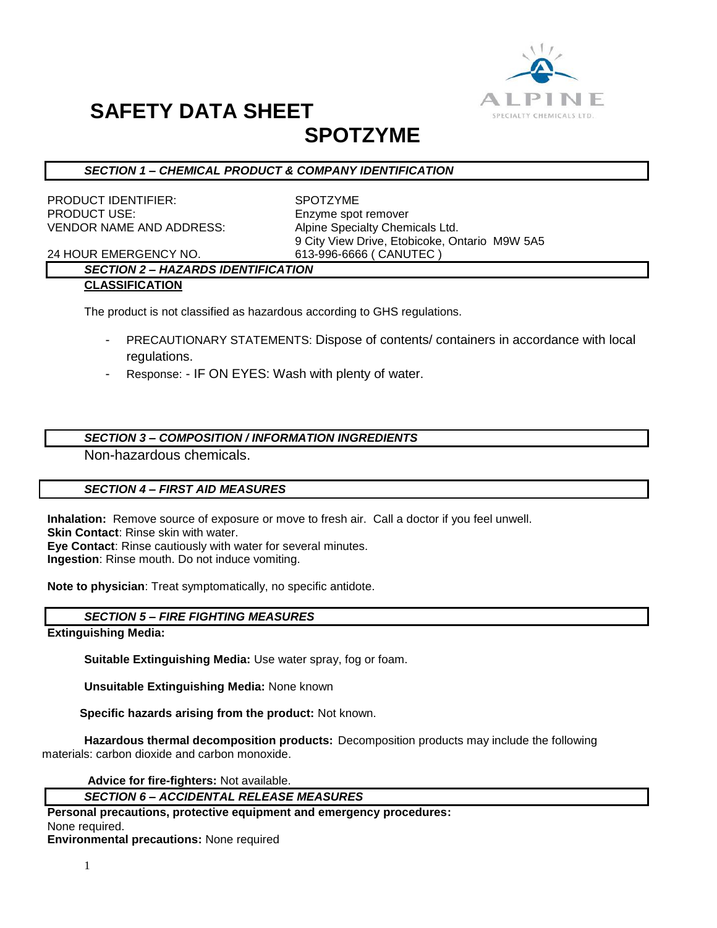

# **SAFETY DATA SHEET**

### **SPOTZYME**

#### *SECTION 1 – CHEMICAL PRODUCT & COMPANY IDENTIFICATION*

PRODUCT IDENTIFIER: SPOTZYME PRODUCT USE: Enzyme spot remover VENDOR NAME AND ADDRESS: Alpine Specialty Chemicals Ltd.

9 City View Drive, Etobicoke, Ontario M9W 5A5

24 HOUR EMERGENCY NO. 613-996-6666 ( CANUTEC )

#### *SECTION 2 – HAZARDS IDENTIFICATION* **CLASSIFICATION**

The product is not classified as hazardous according to GHS regulations.

- PRECAUTIONARY STATEMENTS: Dispose of contents/ containers in accordance with local regulations.
- Response: IF ON EYES: Wash with plenty of water.

#### *SECTION 3 – COMPOSITION / INFORMATION INGREDIENTS*

Non-hazardous chemicals.

#### *SECTION 4 – FIRST AID MEASURES*

**Inhalation:** Remove source of exposure or move to fresh air. Call a doctor if you feel unwell. **Skin Contact**: Rinse skin with water. **Eye Contact**: Rinse cautiously with water for several minutes. **Ingestion**: Rinse mouth. Do not induce vomiting.

**Note to physician**: Treat symptomatically, no specific antidote.

#### *SECTION 5 – FIRE FIGHTING MEASURES*

**Extinguishing Media:**

**Suitable Extinguishing Media:** Use water spray, fog or foam.

**Unsuitable Extinguishing Media:** None known

 **Specific hazards arising from the product:** Not known.

**Hazardous thermal decomposition products:** Decomposition products may include the following materials: carbon dioxide and carbon monoxide.

**Advice for fire-fighters:** Not available.

#### *SECTION 6 – ACCIDENTAL RELEASE MEASURES*

**Personal precautions, protective equipment and emergency procedures:** None required.

**Environmental precautions:** None required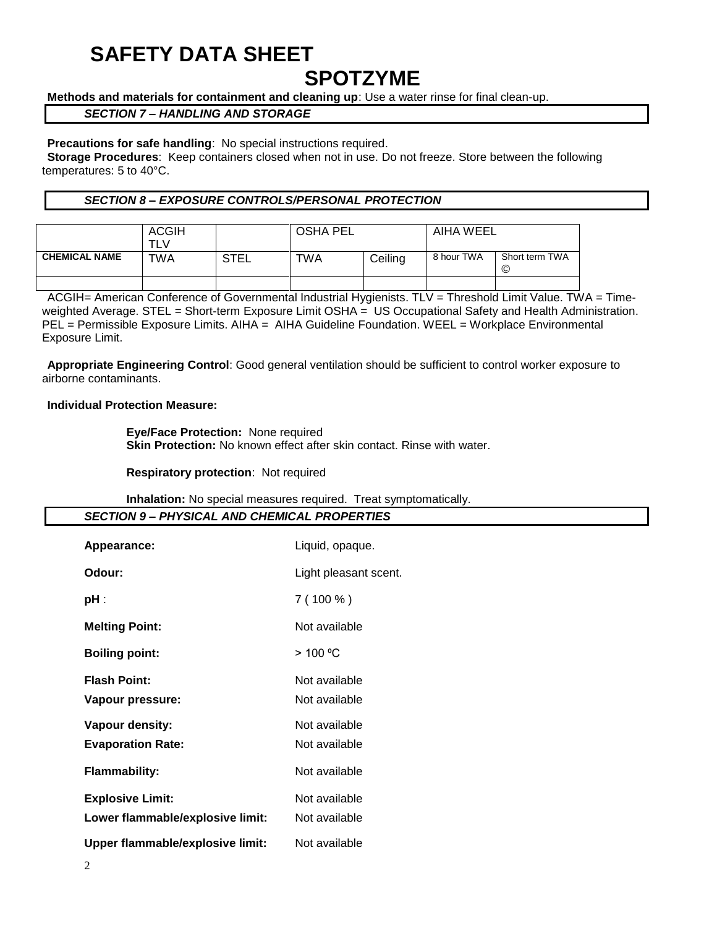## **SAFETY DATA SHEET**

### **SPOTZYME**

**Methods and materials for containment and cleaning up**: Use a water rinse for final clean-up.

#### *SECTION 7 – HANDLING AND STORAGE*

#### **Precautions for safe handling**: No special instructions required.

**Storage Procedures**: Keep containers closed when not in use. Do not freeze. Store between the following temperatures: 5 to 40°C.

#### *SECTION 8 – EXPOSURE CONTROLS/PERSONAL PROTECTION*

|                      | <b>ACGIH</b><br>TLV |             | <b>OSHA PEL</b> |         | AIHA WEEL  |                     |
|----------------------|---------------------|-------------|-----------------|---------|------------|---------------------|
| <b>CHEMICAL NAME</b> | TWA                 | <b>STEL</b> | TWA             | Ceiling | 8 hour TWA | Short term TWA<br>© |
|                      |                     |             |                 |         |            |                     |

ACGIH= American Conference of Governmental Industrial Hygienists. TLV = Threshold Limit Value. TWA = Timeweighted Average. STEL = Short-term Exposure Limit OSHA = US Occupational Safety and Health Administration. PEL = Permissible Exposure Limits. AIHA = AIHA Guideline Foundation. WEEL = Workplace Environmental Exposure Limit.

**Appropriate Engineering Control**: Good general ventilation should be sufficient to control worker exposure to airborne contaminants.

#### **Individual Protection Measure:**

**Eye/Face Protection:** None required **Skin Protection:** No known effect after skin contact. Rinse with water.

**Respiratory protection**: Not required

**Inhalation:** No special measures required. Treat symptomatically.

| <b>SECTION 9- PHYSICAL AND CHEMICAL PROPERTIES</b> |                       |  |  |  |  |
|----------------------------------------------------|-----------------------|--|--|--|--|
| Appearance:                                        | Liquid, opaque.       |  |  |  |  |
| Odour:                                             | Light pleasant scent. |  |  |  |  |
| pH :                                               | $7(100\%)$            |  |  |  |  |
| <b>Melting Point:</b>                              | Not available         |  |  |  |  |
| <b>Boiling point:</b>                              | > 100 °C              |  |  |  |  |
| <b>Flash Point:</b>                                | Not available         |  |  |  |  |
| Vapour pressure:                                   | Not available         |  |  |  |  |
| Vapour density:                                    | Not available         |  |  |  |  |
| <b>Evaporation Rate:</b>                           | Not available         |  |  |  |  |
| <b>Flammability:</b>                               | Not available         |  |  |  |  |
| <b>Explosive Limit:</b>                            | Not available         |  |  |  |  |
| Lower flammable/explosive limit:                   | Not available         |  |  |  |  |
| Upper flammable/explosive limit:                   | Not available         |  |  |  |  |
| $\overline{c}$                                     |                       |  |  |  |  |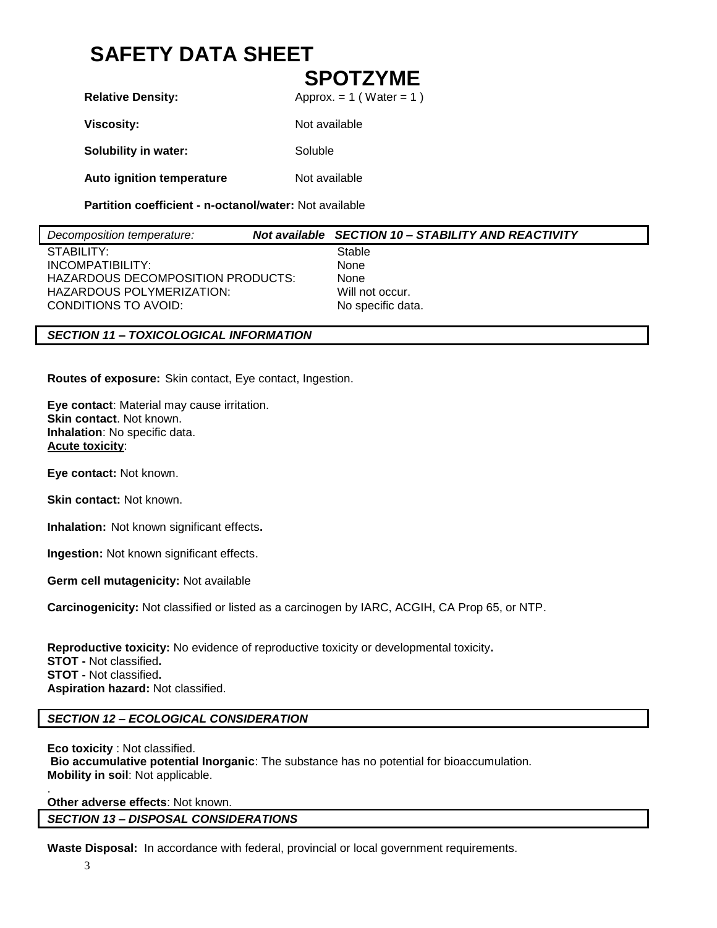## **SAFETY DATA SHEET**

### **SPOTZYME**

**Relative Density:** Approx. = 1 (Water = 1)

**Viscosity:** Not available

**Solubility in water:** Soluble

**Auto ignition temperature** Not available

**Partition coefficient - n-octanol/water:** Not available

| Decomposition temperature:        | Not available SECTION 10 - STABILITY AND REACTIVITY |
|-----------------------------------|-----------------------------------------------------|
| STABILITY:                        | Stable                                              |
| INCOMPATIBILITY:                  | None                                                |
| HAZARDOUS DECOMPOSITION PRODUCTS: | None                                                |
| HAZARDOUS POLYMERIZATION:         | Will not occur.                                     |
| CONDITIONS TO AVOID:              | No specific data.                                   |
|                                   |                                                     |

#### *SECTION 11 – TOXICOLOGICAL INFORMATION*

**Routes of exposure:** Skin contact, Eye contact, Ingestion.

**Eye contact**: Material may cause irritation. **Skin contact**. Not known. **Inhalation**: No specific data. **Acute toxicity**:

**Eye contact:** Not known.

**Skin contact:** Not known.

**Inhalation:** Not known significant effects**.**

**Ingestion:** Not known significant effects.

**Germ cell mutagenicity:** Not available

**Carcinogenicity:** Not classified or listed as a carcinogen by IARC, ACGIH, CA Prop 65, or NTP.

**Reproductive toxicity:** No evidence of reproductive toxicity or developmental toxicity**. STOT -** Not classified**. STOT -** Not classified**. Aspiration hazard:** Not classified.

#### *SECTION 12 – ECOLOGICAL CONSIDERATION*

**Eco toxicity** : Not classified. **Bio accumulative potential Inorganic**: The substance has no potential for bioaccumulation. **Mobility in soil**: Not applicable.

**Other adverse effects**: Not known. *SECTION 13 – DISPOSAL CONSIDERATIONS*

**Waste Disposal:** In accordance with federal, provincial or local government requirements.

.